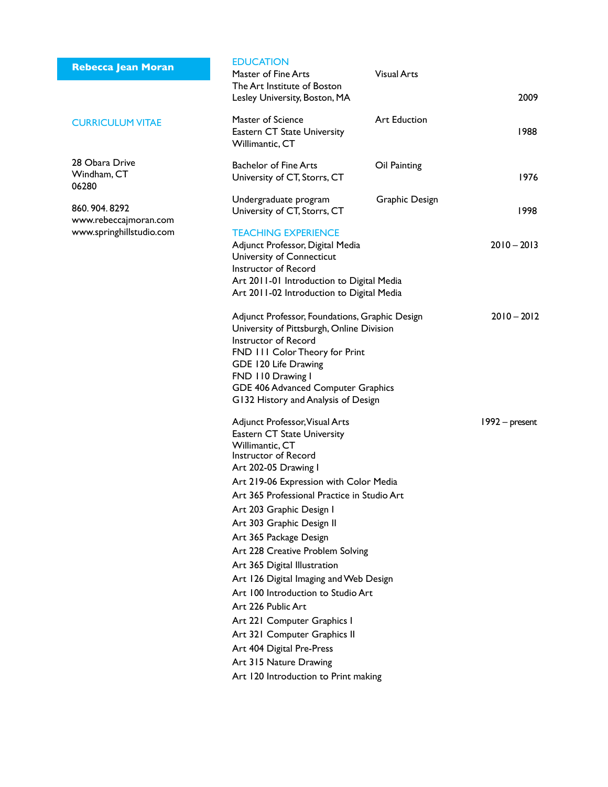|  | <b>Rebecca Jean Moran</b> |  |
|--|---------------------------|--|
|  |                           |  |

### Curriculum Vitae

28 Obara Drive Windham, CT 06280

860. 904. 8292 www.rebeccajmoran.com www.springhillstudio.com

| <b>EDUCATION</b><br>Master of Fine Arts<br>The Art Institute of Boston<br>Lesley University, Boston, MA                                                                                                                                                                                                                                                                                                                                                                                                                                                                                                                                              | <b>Visual Arts</b>  | 2009           |
|------------------------------------------------------------------------------------------------------------------------------------------------------------------------------------------------------------------------------------------------------------------------------------------------------------------------------------------------------------------------------------------------------------------------------------------------------------------------------------------------------------------------------------------------------------------------------------------------------------------------------------------------------|---------------------|----------------|
| Master of Science<br><b>Eastern CT State University</b><br>Willimantic, CT                                                                                                                                                                                                                                                                                                                                                                                                                                                                                                                                                                           | <b>Art Eduction</b> | 1988           |
| <b>Bachelor of Fine Arts</b><br>University of CT, Storrs, CT                                                                                                                                                                                                                                                                                                                                                                                                                                                                                                                                                                                         | Oil Painting        | 1976           |
| Undergraduate program<br>University of CT, Storrs, CT                                                                                                                                                                                                                                                                                                                                                                                                                                                                                                                                                                                                | Graphic Design      | 1998           |
| <b>TEACHING EXPERIENCE</b><br>Adjunct Professor, Digital Media<br>University of Connecticut<br>Instructor of Record<br>Art 2011-01 Introduction to Digital Media<br>Art 2011-02 Introduction to Digital Media                                                                                                                                                                                                                                                                                                                                                                                                                                        |                     | $2010 - 2013$  |
| Adjunct Professor, Foundations, Graphic Design<br>University of Pittsburgh, Online Division<br>Instructor of Record<br>FND 111 Color Theory for Print<br>GDE 120 Life Drawing<br>FND 110 Drawing I<br>GDE 406 Advanced Computer Graphics<br>G132 History and Analysis of Design                                                                                                                                                                                                                                                                                                                                                                      |                     | $2010 - 2012$  |
| Adjunct Professor, Visual Arts<br>Eastern CT State University<br>Willimantic, CT<br>Instructor of Record<br>Art 202-05 Drawing I<br>Art 219-06 Expression with Color Media<br>Art 365 Professional Practice in Studio Art<br>Art 203 Graphic Design I<br>Art 303 Graphic Design II<br>Art 365 Package Design<br>Art 228 Creative Problem Solving<br>Art 365 Digital Illustration<br>Art 126 Digital Imaging and Web Design<br>Art 100 Introduction to Studio Art<br>Art 226 Public Art<br>Art 221 Computer Graphics I<br>Art 321 Computer Graphics II<br>Art 404 Digital Pre-Press<br>Art 315 Nature Drawing<br>Art 120 Introduction to Print making |                     | 1992 – present |
|                                                                                                                                                                                                                                                                                                                                                                                                                                                                                                                                                                                                                                                      |                     |                |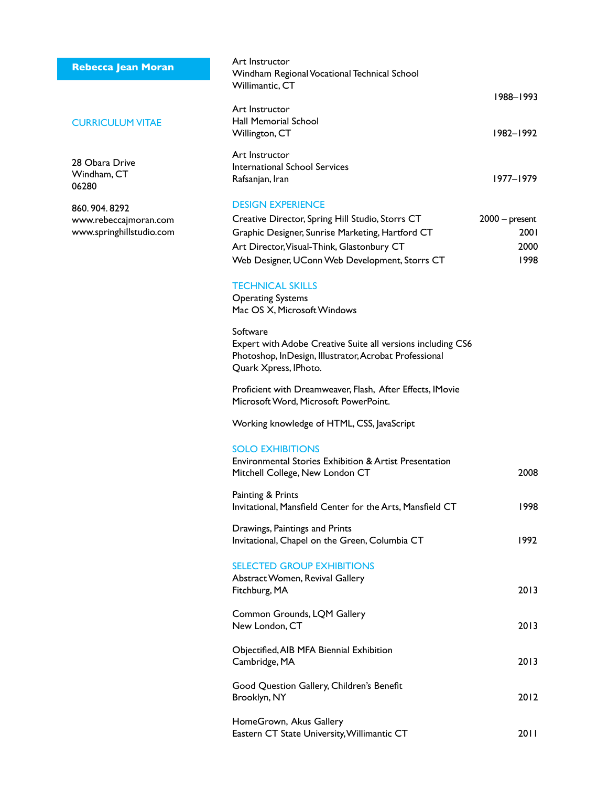# **Rebecca Jean Moran**

### CURRICULUM VITAE

28 Obara Drive Windham, CT 06280

860. 904. 8292 www.rebeccajmoran.com www.springhillstudio.com

| Art Instructor<br>Windham Regional Vocational Technical School<br>Willimantic, CT                                                                                                                    |                                          |
|------------------------------------------------------------------------------------------------------------------------------------------------------------------------------------------------------|------------------------------------------|
|                                                                                                                                                                                                      | 1988-1993                                |
| Art Instructor<br>Hall Memorial School<br>Willington, CT                                                                                                                                             | 1982–1992                                |
| Art Instructor<br><b>International School Services</b><br>Rafsanjan, Iran                                                                                                                            | 1977–1979                                |
| <b>DESIGN EXPERIENCE</b>                                                                                                                                                                             |                                          |
| Creative Director, Spring Hill Studio, Storrs CT<br>Graphic Designer, Sunrise Marketing, Hartford CT<br>Art Director, Visual-Think, Glastonbury CT<br>Web Designer, UConn Web Development, Storrs CT | $2000 - present$<br>2001<br>2000<br>1998 |
| <b>TECHNICAL SKILLS</b><br><b>Operating Systems</b><br>Mac OS X, Microsoft Windows                                                                                                                   |                                          |
| Software<br>Expert with Adobe Creative Suite all versions including CS6<br>Photoshop, InDesign, Illustrator, Acrobat Professional<br>Quark Xpress, IPhoto.                                           |                                          |
| Proficient with Dreamweaver, Flash, After Effects, IMovie<br>Microsoft Word, Microsoft PowerPoint.                                                                                                   |                                          |
| Working knowledge of HTML, CSS, JavaScript                                                                                                                                                           |                                          |
| <b>SOLO EXHIBITIONS</b><br><b>Environmental Stories Exhibition &amp; Artist Presentation</b><br>Mitchell College, New London CT                                                                      | 2008                                     |
| Painting & Prints<br>Invitational, Mansfield Center for the Arts, Mansfield CT                                                                                                                       | 1998                                     |
| Drawings, Paintings and Prints<br>Invitational, Chapel on the Green, Columbia CT                                                                                                                     | 1992                                     |
| <b>SELECTED GROUP EXHIBITIONS</b><br>Abstract Women, Revival Gallery<br>Fitchburg, MA                                                                                                                | 2013                                     |
| Common Grounds, LQM Gallery<br>New London, CT                                                                                                                                                        | 2013                                     |
| Objectified, AIB MFA Biennial Exhibition<br>Cambridge, MA                                                                                                                                            | 2013                                     |
| Good Question Gallery, Children's Benefit<br>Brooklyn, NY                                                                                                                                            | 2012                                     |
| HomeGrown, Akus Gallery<br>Eastern CT State University, Willimantic CT                                                                                                                               | 20 I I                                   |